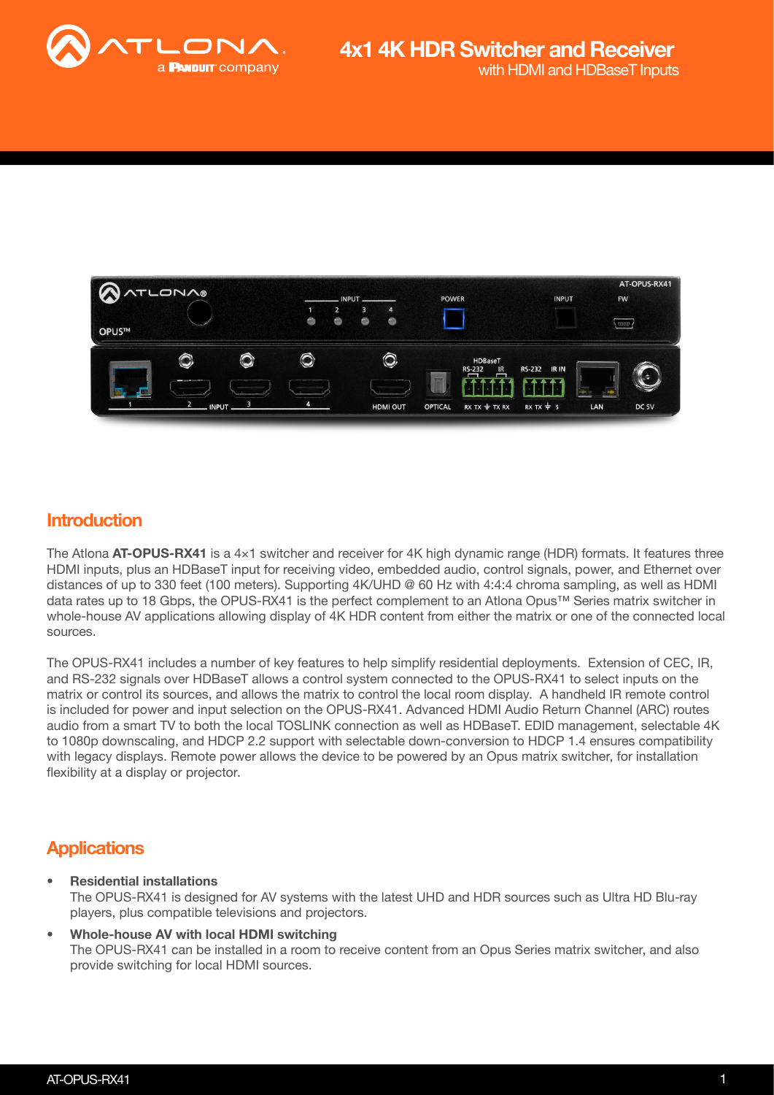



### **Introduction**

The Atlona AT-OPUS-RX41 is a  $4\times1$  switcher and receiver for 4K high dynamic range (HDR) formats. It features three HDMI inputs, plus an HDBaseT input for receiving video, embedded audio, control signals, power, and Ethernet over distances of up to 330 feet (100 meters). Supporting 4K/UHD @ 60 Hz with 4:4:4 chroma sampling, as well as HDMI data rates up to 18 Gbps, the OPUS-RX41 is the perfect complement to an Atlona Opus™ Series matrix switcher in whole-house AV applications allowing display of 4K HDR content from either the matrix or one of the connected local sources.

The OPUS-RX41 includes a number of key features to help simplify residential deployments. Extension of CEC, IR, and RS-232 signals over HDBaseT allows a control system connected to the OPUS-RX41 to select inputs on the matrix or control its sources, and allows the matrix to control the local room display. A handheld IR remote control is included for power and input selection on the OPUS-RX41. Advanced HDMI Audio Return Channel (ARC) routes audio from a smart TV to both the local TOSLINK connection as well as HDBaseT. EDID management, selectable 4K to 1080p downscaling, and HDCP 2.2 support with selectable down-conversion to HDCP 1.4 ensures compatibility with legacy displays. Remote power allows the device to be powered by an Opus matrix switcher, for installation flexibility at a display or projector.

## **Applications**

• Residential installations

The OPUS-RX41 is designed for AV systems with the latest UHD and HDR sources such as Ultra HD Blu-ray players, plus compatible televisions and projectors.

• Whole-house AV with local HDMI switching The OPUS-RX41 can be installed in a room to receive content from an Opus Series matrix switcher, and also provide switching for local HDMI sources.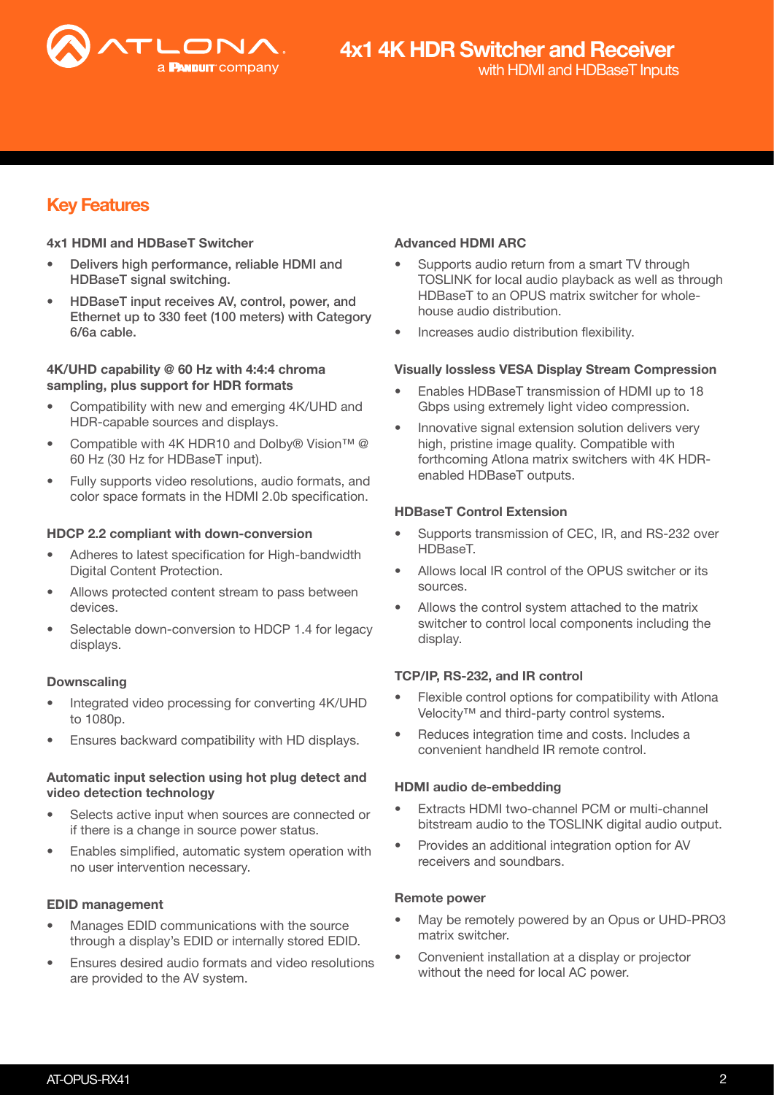

## Key Features

#### 4x1 HDMI and HDBaseT Switcher

- Delivers high performance, reliable HDMI and HDBaseT signal switching.
- HDBaseT input receives AV, control, power, and Ethernet up to 330 feet (100 meters) with Category 6/6a cable.

#### 4K/UHD capability @ 60 Hz with 4:4:4 chroma sampling, plus support for HDR formats

- Compatibility with new and emerging 4K/UHD and HDR-capable sources and displays.
- Compatible with 4K HDR10 and Dolby® Vision™ @ 60 Hz (30 Hz for HDBaseT input).
- Fully supports video resolutions, audio formats, and color space formats in the HDMI 2.0b specification.

#### HDCP 2.2 compliant with down-conversion

- Adheres to latest specification for High-bandwidth Digital Content Protection.
- Allows protected content stream to pass between devices.
- Selectable down-conversion to HDCP 1.4 for legacy displays.

#### Downscaling

- Integrated video processing for converting 4K/UHD to 1080p.
- Ensures backward compatibility with HD displays.

#### Automatic input selection using hot plug detect and video detection technology

- Selects active input when sources are connected or if there is a change in source power status.
- Enables simplified, automatic system operation with no user intervention necessary.

#### EDID management

- Manages EDID communications with the source through a display's EDID or internally stored EDID.
- Ensures desired audio formats and video resolutions are provided to the AV system.

#### Advanced HDMI ARC

- Supports audio return from a smart TV through TOSLINK for local audio playback as well as through HDBaseT to an OPUS matrix switcher for wholehouse audio distribution.
- Increases audio distribution flexibility.

#### Visually lossless VESA Display Stream Compression

- Enables HDBaseT transmission of HDMI up to 18 Gbps using extremely light video compression.
- Innovative signal extension solution delivers very high, pristine image quality. Compatible with forthcoming Atlona matrix switchers with 4K HDRenabled HDBaseT outputs.

#### HDBaseT Control Extension

- Supports transmission of CEC, IR, and RS-232 over HDBaseT.
- Allows local IR control of the OPUS switcher or its sources.
- Allows the control system attached to the matrix switcher to control local components including the display.

#### TCP/IP, RS-232, and IR control

- Flexible control options for compatibility with Atlona Velocity™ and third-party control systems.
- Reduces integration time and costs. Includes a convenient handheld IR remote control.

#### HDMI audio de-embedding

- Extracts HDMI two-channel PCM or multi-channel bitstream audio to the TOSLINK digital audio output.
- Provides an additional integration option for AV receivers and soundbars.

#### Remote power

- May be remotely powered by an Opus or UHD-PRO3 matrix switcher.
- Convenient installation at a display or projector without the need for local AC power.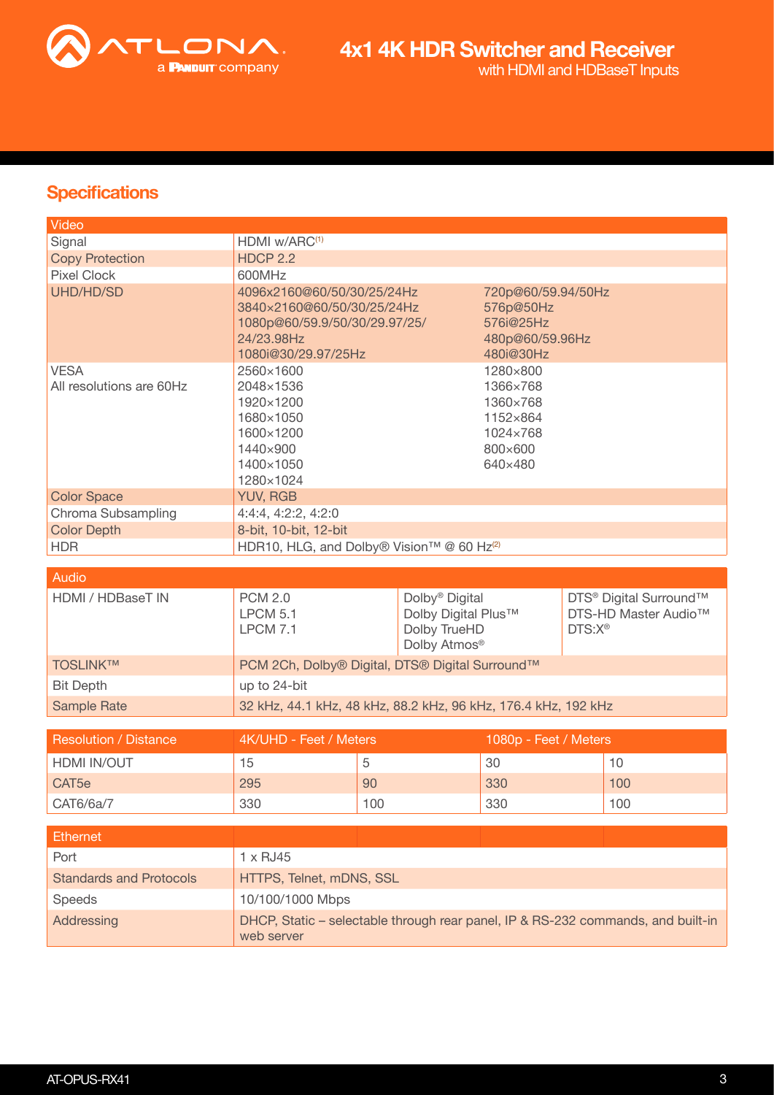

## **Specifications**

| Video                                   |                                                                                                                                |     |                                                                                   |                       |                    |                                                                        |
|-----------------------------------------|--------------------------------------------------------------------------------------------------------------------------------|-----|-----------------------------------------------------------------------------------|-----------------------|--------------------|------------------------------------------------------------------------|
| Signal                                  | HDMI w/ARC <sup>(1)</sup>                                                                                                      |     |                                                                                   |                       |                    |                                                                        |
| <b>Copy Protection</b>                  | <b>HDCP 2.2</b>                                                                                                                |     |                                                                                   |                       |                    |                                                                        |
| <b>Pixel Clock</b>                      | 600MHz                                                                                                                         |     |                                                                                   |                       |                    |                                                                        |
| UHD/HD/SD                               | 4096x2160@60/50/30/25/24Hz<br>3840×2160@60/50/30/25/24Hz<br>1080p@60/59.9/50/30/29.97/25/<br>24/23.98Hz<br>1080i@30/29.97/25Hz |     | 720p@60/59.94/50Hz<br>576p@50Hz<br>576i@25Hz<br>480p@60/59.96Hz<br>480i@30Hz      |                       |                    |                                                                        |
| <b>VESA</b><br>All resolutions are 60Hz | 2560×1600<br>2048×1536<br>1920×1200<br>1680×1050<br>1600×1200<br>1440×900<br>1400×1050<br>1280×1024                            |     | 1280×800<br>1366×768<br>1360×768<br>1152×864<br>1024×768<br>800×600<br>640×480    |                       |                    |                                                                        |
| <b>Color Space</b>                      | <b>YUV, RGB</b>                                                                                                                |     |                                                                                   |                       |                    |                                                                        |
| Chroma Subsampling                      | 4:4:4, 4:2:2, 4:2:0                                                                                                            |     |                                                                                   |                       |                    |                                                                        |
| <b>Color Depth</b>                      | 8-bit, 10-bit, 12-bit                                                                                                          |     |                                                                                   |                       |                    |                                                                        |
| <b>HDR</b>                              | HDR10, HLG, and Dolby® Vision™ @ 60 Hz <sup>(2)</sup>                                                                          |     |                                                                                   |                       |                    |                                                                        |
| <b>Audio</b>                            |                                                                                                                                |     |                                                                                   |                       |                    |                                                                        |
| HDMI / HDBaseT IN                       | <b>PCM 2.0</b><br><b>LPCM 5.1</b><br><b>LPCM 7.1</b>                                                                           |     | Dolby <sup>®</sup> Digital<br>Dolby Digital Plus™<br>Dolby TrueHD<br>Dolby Atmos® |                       | DTS:X <sup>®</sup> | DTS <sup>®</sup> Digital Surround™<br>DTS-HD Master Audio <sup>™</sup> |
| <b>TOSLINKTM</b>                        | PCM 2Ch, Dolby® Digital, DTS® Digital Surround™                                                                                |     |                                                                                   |                       |                    |                                                                        |
| <b>Bit Depth</b>                        | up to 24-bit                                                                                                                   |     |                                                                                   |                       |                    |                                                                        |
| <b>Sample Rate</b>                      | 32 kHz, 44.1 kHz, 48 kHz, 88.2 kHz, 96 kHz, 176.4 kHz, 192 kHz                                                                 |     |                                                                                   |                       |                    |                                                                        |
|                                         |                                                                                                                                |     |                                                                                   |                       |                    |                                                                        |
| <b>Resolution / Distance</b>            | 4K/UHD - Feet / Meters                                                                                                         |     |                                                                                   | 1080p - Feet / Meters |                    |                                                                        |
| HDMI IN/OUT                             | 15                                                                                                                             | 5   |                                                                                   | 30                    |                    | 10                                                                     |
| CAT <sub>5e</sub>                       | 295                                                                                                                            | 90  |                                                                                   | 330                   |                    | 100                                                                    |
| CAT6/6a/7                               | 330                                                                                                                            |     |                                                                                   |                       |                    |                                                                        |
|                                         |                                                                                                                                | 100 |                                                                                   | 330                   |                    | 100                                                                    |
|                                         |                                                                                                                                |     |                                                                                   |                       |                    |                                                                        |
| <b>Ethernet</b><br>Port                 | 1 x RJ45                                                                                                                       |     |                                                                                   |                       |                    |                                                                        |
| <b>Standards and Protocols</b>          | HTTPS, Telnet, mDNS, SSL                                                                                                       |     |                                                                                   |                       |                    |                                                                        |
| Speeds                                  | 10/100/1000 Mbps                                                                                                               |     |                                                                                   |                       |                    |                                                                        |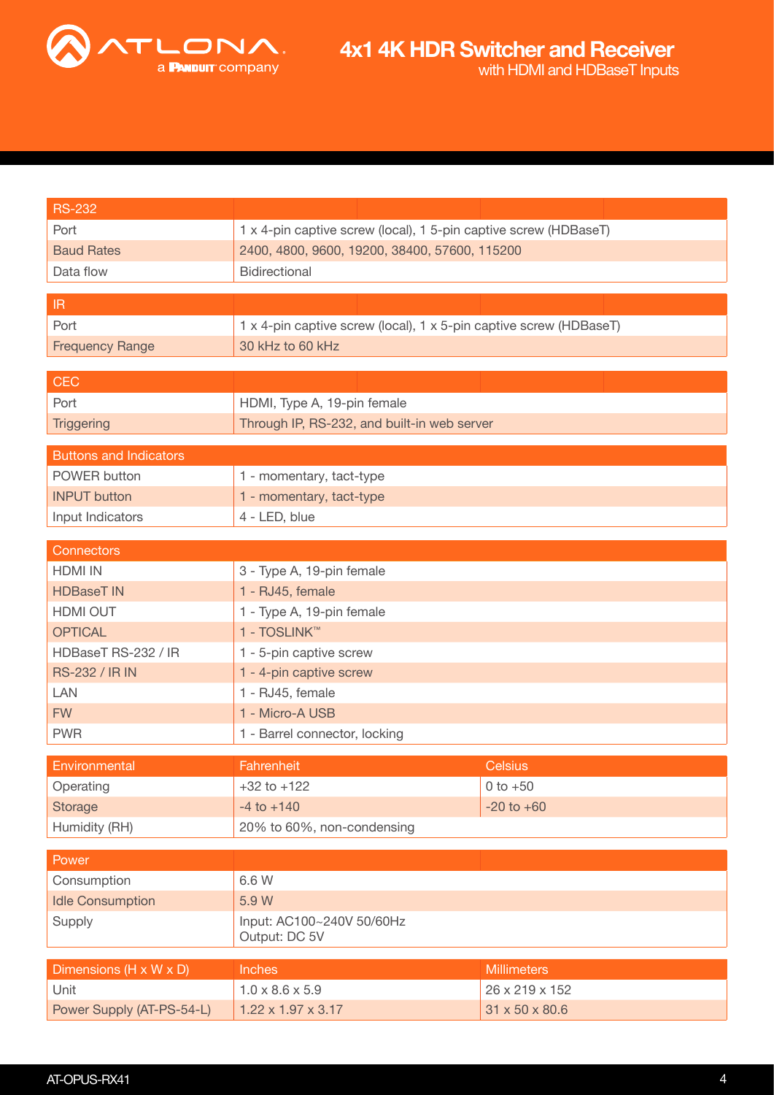

| <b>RS-232</b>                     |                                                                    |                            |  |
|-----------------------------------|--------------------------------------------------------------------|----------------------------|--|
| Port                              | 1 x 4-pin captive screw (local), 1 5-pin captive screw (HDBaseT)   |                            |  |
| <b>Baud Rates</b>                 | 2400, 4800, 9600, 19200, 38400, 57600, 115200                      |                            |  |
| Data flow                         | Bidirectional                                                      |                            |  |
|                                   |                                                                    |                            |  |
| $\ensuremath{\mathsf{IR}}\xspace$ |                                                                    |                            |  |
| Port                              | 1 x 4-pin captive screw (local), 1 x 5-pin captive screw (HDBaseT) |                            |  |
| <b>Frequency Range</b>            | 30 kHz to 60 kHz                                                   |                            |  |
| <b>CEC</b>                        |                                                                    |                            |  |
| Port                              | HDMI, Type A, 19-pin female                                        |                            |  |
| <b>Triggering</b>                 | Through IP, RS-232, and built-in web server                        |                            |  |
|                                   |                                                                    |                            |  |
| <b>Buttons and Indicators</b>     |                                                                    |                            |  |
| POWER button                      | 1 - momentary, tact-type                                           |                            |  |
| <b>INPUT button</b>               | 1 - momentary, tact-type                                           |                            |  |
| Input Indicators                  | 4 - LED, blue                                                      |                            |  |
| Connectors                        |                                                                    |                            |  |
| <b>HDMI IN</b>                    | 3 - Type A, 19-pin female                                          |                            |  |
| <b>HDBaseT IN</b>                 | 1 - RJ45, female                                                   |                            |  |
| HDMI OUT                          | 1 - Type A, 19-pin female                                          |                            |  |
| <b>OPTICAL</b>                    | 1 - TOSLINK™                                                       |                            |  |
| HDBaseT RS-232 / IR               | 1 - 5-pin captive screw                                            |                            |  |
| <b>RS-232 / IR IN</b>             | 1 - 4-pin captive screw                                            |                            |  |
| LAN                               | 1 - RJ45, female                                                   |                            |  |
| <b>FW</b>                         | 1 - Micro-A USB                                                    |                            |  |
| <b>PWR</b>                        | 1 - Barrel connector, locking                                      |                            |  |
|                                   |                                                                    |                            |  |
| Environmental                     | Fahrenheit                                                         | <b>Celsius</b>             |  |
| Operating                         | $+32$ to $+122$                                                    | $0 to +50$                 |  |
| Storage                           | $-4$ to $+140$<br>$-20$ to $+60$                                   |                            |  |
| Humidity (RH)                     | 20% to 60%, non-condensing                                         |                            |  |
| Power                             |                                                                    |                            |  |
| Consumption                       | 6.6 W                                                              |                            |  |
| <b>Idle Consumption</b>           | 5.9 W                                                              |                            |  |
| Supply                            | Input: AC100~240V 50/60Hz<br>Output: DC 5V                         |                            |  |
| Dimensions (H x W x D)            | <b>Inches</b>                                                      | <b>Millimeters</b>         |  |
| Unit                              | $1.0 \times 8.6 \times 5.9$                                        | 26 x 219 x 152             |  |
| Power Supply (AT-PS-54-L)         | $1.22 \times 1.97 \times 3.17$                                     | $31 \times 50 \times 80.6$ |  |
|                                   |                                                                    |                            |  |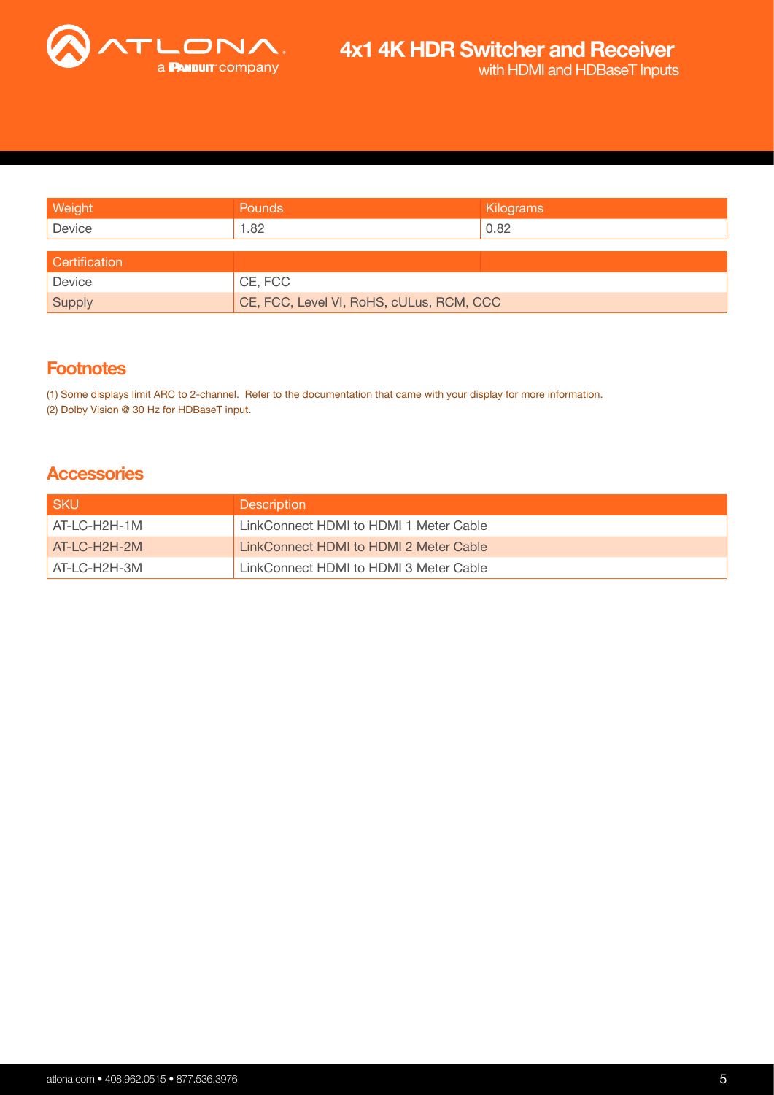

| Weight        | Pounds                                   | Kilograms |
|---------------|------------------------------------------|-----------|
| Device        | 1.82                                     | 0.82      |
|               |                                          |           |
| Certification |                                          |           |
| Device        | CE, FCC                                  |           |
| Supply        | CE, FCC, Level VI, RoHS, cULus, RCM, CCC |           |

## **Footnotes**

(1) Some displays limit ARC to 2-channel. Refer to the documentation that came with your display for more information. (2) Dolby Vision @ 30 Hz for HDBaseT input.

### **Accessories**

| <b>SKU</b>     | <b>Description</b>                     |
|----------------|----------------------------------------|
| AT-LC-H2H-1M   | LinkConnect HDMI to HDMI 1 Meter Cable |
| $AT-LC-H2H-2M$ | LinkConnect HDMI to HDMI 2 Meter Cable |
| AT-LC-H2H-3M   | LinkConnect HDMI to HDMI 3 Meter Cable |